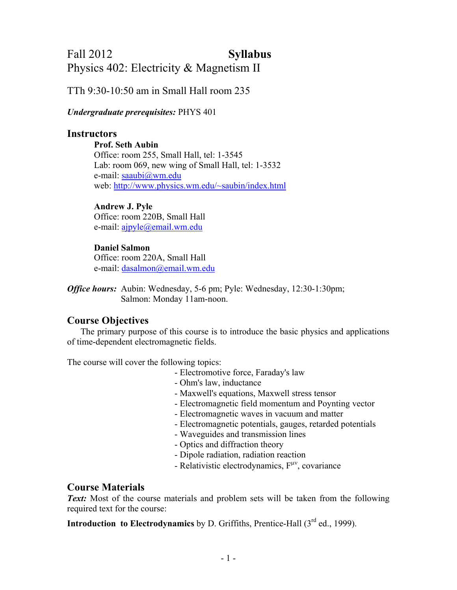# Fall 2012 **Syllabus** Physics 402: Electricity & Magnetism II

## TTh 9:30-10:50 am in Small Hall room 235

#### *Undergraduate prerequisites:* PHYS 401

### **Instructors**

**Prof. Seth Aubin**  Office: room 255, Small Hall, tel: 1-3545 Lab: room 069, new wing of Small Hall, tel: 1-3532 e-mail: [saaubi@wm.edu](mailto:saaubi@wm.edu) web: [http://www.physics.wm.edu/~saubin/index.html](http://www.physics.wm.edu/%7Esaubin/index.html)

#### **Andrew J. Pyle**

 Office: room 220B, Small Hall e-mail: [ajpyle@email.wm.edu](mailto:ajpyle@email.wm.edu)

#### **Daniel Salmon**

 Office: room 220A, Small Hall e-mail: [dasalmon@email.wm.edu](mailto:dasalmon@email.wm.edu)

*Office hours:* Aubin: Wednesday, 5-6 pm; Pyle: Wednesday, 12:30-1:30pm; Salmon: Monday 11am-noon.

#### **Course Objectives**

The primary purpose of this course is to introduce the basic physics and applications of time-dependent electromagnetic fields.

The course will cover the following topics:

- Electromotive force, Faraday's law
- Ohm's law, inductance
- Maxwell's equations, Maxwell stress tensor
- Electromagnetic field momentum and Poynting vector
- Electromagnetic waves in vacuum and matter
- Electromagnetic potentials, gauges, retarded potentials
- Waveguides and transmission lines
- Optics and diffraction theory
- Dipole radiation, radiation reaction
- Relativistic electrodynamics,  $F^{\mu\nu}$ , covariance

## **Course Materials**

*Text:* Most of the course materials and problem sets will be taken from the following required text for the course:

**Introduction to Electrodynamics** by D. Griffiths, Prentice-Hall (3<sup>rd</sup> ed., 1999).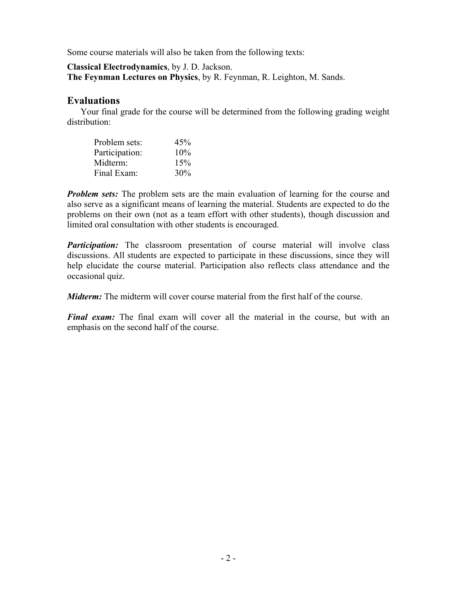Some course materials will also be taken from the following texts:

**Classical Electrodynamics**, by J. D. Jackson.

**The Feynman Lectures on Physics**, by R. Feynman, R. Leighton, M. Sands.

#### **Evaluations**

Your final grade for the course will be determined from the following grading weight distribution:

| Problem sets:  | 45%    |
|----------------|--------|
| Participation: | $10\%$ |
| Midterm:       | 15%    |
| Final Exam:    | 30%    |

*Problem sets:* The problem sets are the main evaluation of learning for the course and also serve as a significant means of learning the material. Students are expected to do the problems on their own (not as a team effort with other students), though discussion and limited oral consultation with other students is encouraged.

*Participation:* The classroom presentation of course material will involve class discussions. All students are expected to participate in these discussions, since they will help elucidate the course material. Participation also reflects class attendance and the occasional quiz.

*Midterm:* The midterm will cover course material from the first half of the course.

*Final exam:* The final exam will cover all the material in the course, but with an emphasis on the second half of the course.